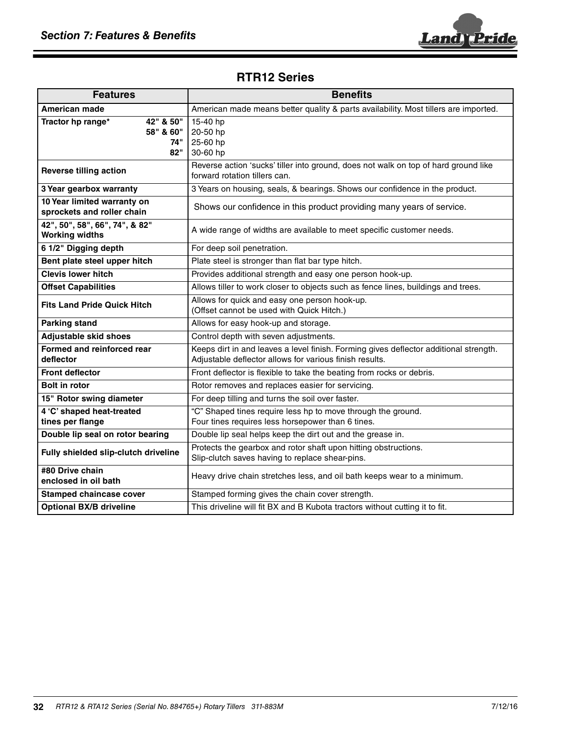

## **RTR12 Series**

| <b>Features</b>                                           | <b>Benefits</b>                                                                                                                                  |
|-----------------------------------------------------------|--------------------------------------------------------------------------------------------------------------------------------------------------|
| American made                                             | American made means better quality & parts availability. Most tillers are imported.                                                              |
| 42" & 50"<br>Tractor hp range*<br>58" & 60"<br>74"<br>82" | 15-40 hp<br>20-50 hp<br>25-60 hp<br>30-60 hp                                                                                                     |
| <b>Reverse tilling action</b>                             | Reverse action 'sucks' tiller into ground, does not walk on top of hard ground like<br>forward rotation tillers can.                             |
| 3 Year gearbox warranty                                   | 3 Years on housing, seals, & bearings. Shows our confidence in the product.                                                                      |
| 10 Year limited warranty on<br>sprockets and roller chain | Shows our confidence in this product providing many years of service.                                                                            |
| 42", 50", 58", 66", 74", & 82"<br><b>Working widths</b>   | A wide range of widths are available to meet specific customer needs.                                                                            |
| 6 1/2" Digging depth                                      | For deep soil penetration.                                                                                                                       |
| Bent plate steel upper hitch                              | Plate steel is stronger than flat bar type hitch.                                                                                                |
| <b>Clevis lower hitch</b>                                 | Provides additional strength and easy one person hook-up.                                                                                        |
| <b>Offset Capabilities</b>                                | Allows tiller to work closer to objects such as fence lines, buildings and trees.                                                                |
| <b>Fits Land Pride Quick Hitch</b>                        | Allows for quick and easy one person hook-up.<br>(Offset cannot be used with Quick Hitch.)                                                       |
| <b>Parking stand</b>                                      | Allows for easy hook-up and storage.                                                                                                             |
| <b>Adjustable skid shoes</b>                              | Control depth with seven adjustments.                                                                                                            |
| Formed and reinforced rear<br>deflector                   | Keeps dirt in and leaves a level finish. Forming gives deflector additional strength.<br>Adjustable deflector allows for various finish results. |
| <b>Front deflector</b>                                    | Front deflector is flexible to take the beating from rocks or debris.                                                                            |
| <b>Bolt in rotor</b>                                      | Rotor removes and replaces easier for servicing.                                                                                                 |
| 15" Rotor swing diameter                                  | For deep tilling and turns the soil over faster.                                                                                                 |
| 4 'C' shaped heat-treated<br>tines per flange             | "C" Shaped tines require less hp to move through the ground.<br>Four tines requires less horsepower than 6 tines.                                |
| Double lip seal on rotor bearing                          | Double lip seal helps keep the dirt out and the grease in.                                                                                       |
| Fully shielded slip-clutch driveline                      | Protects the gearbox and rotor shaft upon hitting obstructions.<br>Slip-clutch saves having to replace shear-pins.                               |
| #80 Drive chain<br>enclosed in oil bath                   | Heavy drive chain stretches less, and oil bath keeps wear to a minimum.                                                                          |
| <b>Stamped chaincase cover</b>                            | Stamped forming gives the chain cover strength.                                                                                                  |
| <b>Optional BX/B driveline</b>                            | This driveline will fit BX and B Kubota tractors without cutting it to fit.                                                                      |